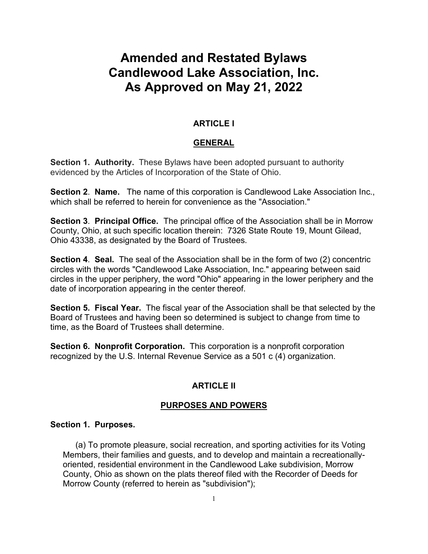# **Amended and Restated Bylaws Candlewood Lake Association, Inc. As Approved on May 21, 2022**

# **ARTICLE I**

## **GENERAL**

**Section 1. Authority.** These Bylaws have been adopted pursuant to authority evidenced by the Articles of Incorporation of the State of Ohio.

**Section 2**. **Name.** The name of this corporation is Candlewood Lake Association Inc., which shall be referred to herein for convenience as the "Association."

**Section 3**. **Principal Office.** The principal office of the Association shall be in Morrow County, Ohio, at such specific location therein: 7326 State Route 19, Mount Gilead, Ohio 43338, as designated by the Board of Trustees.

**Section 4**. **Seal.** The seal of the Association shall be in the form of two (2) concentric circles with the words "Candlewood Lake Association, Inc." appearing between said circles in the upper periphery, the word "Ohio" appearing in the lower periphery and the date of incorporation appearing in the center thereof.

**Section 5. Fiscal Year.** The fiscal year of the Association shall be that selected by the Board of Trustees and having been so determined is subject to change from time to time, as the Board of Trustees shall determine.

**Section 6. Nonprofit Corporation.** This corporation is a nonprofit corporation recognized by the U.S. Internal Revenue Service as a 501 c (4) organization.

## **ARTICLE II**

## **PURPOSES AND POWERS**

#### **Section 1. Purposes.**

(a) To promote pleasure, social recreation, and sporting activities for its Voting Members, their families and guests, and to develop and maintain a recreationallyoriented, residential environment in the Candlewood Lake subdivision, Morrow County, Ohio as shown on the plats thereof filed with the Recorder of Deeds for Morrow County (referred to herein as "subdivision");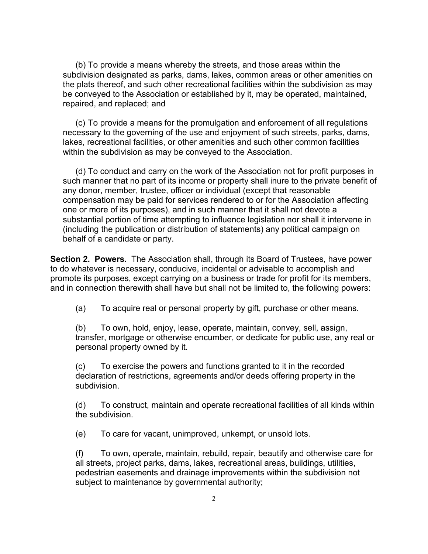(b) To provide a means whereby the streets, and those areas within the subdivision designated as parks, dams, lakes, common areas or other amenities on the plats thereof, and such other recreational facilities within the subdivision as may be conveyed to the Association or established by it, may be operated, maintained, repaired, and replaced; and

(c) To provide a means for the promulgation and enforcement of all regulations necessary to the governing of the use and enjoyment of such streets, parks, dams, lakes, recreational facilities, or other amenities and such other common facilities within the subdivision as may be conveyed to the Association.

(d) To conduct and carry on the work of the Association not for profit purposes in such manner that no part of its income or property shall inure to the private benefit of any donor, member, trustee, officer or individual (except that reasonable compensation may be paid for services rendered to or for the Association affecting one or more of its purposes), and in such manner that it shall not devote a substantial portion of time attempting to influence legislation nor shall it intervene in (including the publication or distribution of statements) any political campaign on behalf of a candidate or party.

**Section 2. Powers.** The Association shall, through its Board of Trustees, have power to do whatever is necessary, conducive, incidental or advisable to accomplish and promote its purposes, except carrying on a business or trade for profit for its members, and in connection therewith shall have but shall not be limited to, the following powers:

(a) To acquire real or personal property by gift, purchase or other means.

(b) To own, hold, enjoy, lease, operate, maintain, convey, sell, assign, transfer, mortgage or otherwise encumber, or dedicate for public use, any real or personal property owned by it.

(c) To exercise the powers and functions granted to it in the recorded declaration of restrictions, agreements and/or deeds offering property in the subdivision.

(d) To construct, maintain and operate recreational facilities of all kinds within the subdivision.

(e) To care for vacant, unimproved, unkempt, or unsold lots.

(f) To own, operate, maintain, rebuild, repair, beautify and otherwise care for all streets, project parks, dams, lakes, recreational areas, buildings, utilities, pedestrian easements and drainage improvements within the subdivision not subject to maintenance by governmental authority;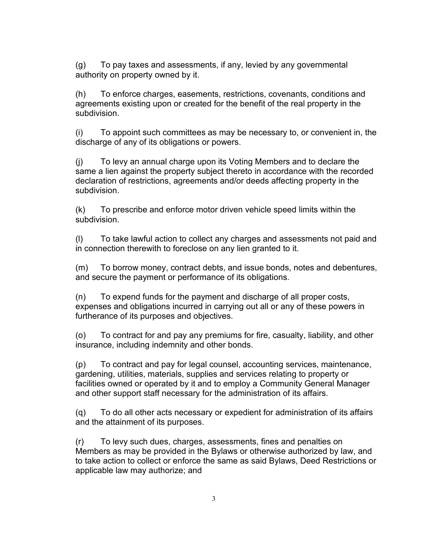(g) To pay taxes and assessments, if any, levied by any governmental authority on property owned by it.

(h) To enforce charges, easements, restrictions, covenants, conditions and agreements existing upon or created for the benefit of the real property in the subdivision.

(i) To appoint such committees as may be necessary to, or convenient in, the discharge of any of its obligations or powers.

(j) To levy an annual charge upon its Voting Members and to declare the same a lien against the property subject thereto in accordance with the recorded declaration of restrictions, agreements and/or deeds affecting property in the subdivision.

(k) To prescribe and enforce motor driven vehicle speed limits within the subdivision.

(l) To take lawful action to collect any charges and assessments not paid and in connection therewith to foreclose on any lien granted to it.

(m) To borrow money, contract debts, and issue bonds, notes and debentures, and secure the payment or performance of its obligations.

(n) To expend funds for the payment and discharge of all proper costs, expenses and obligations incurred in carrying out all or any of these powers in furtherance of its purposes and objectives.

(o) To contract for and pay any premiums for fire, casualty, liability, and other insurance, including indemnity and other bonds.

(p) To contract and pay for legal counsel, accounting services, maintenance, gardening, utilities, materials, supplies and services relating to property or facilities owned or operated by it and to employ a Community General Manager and other support staff necessary for the administration of its affairs.

(q) To do all other acts necessary or expedient for administration of its affairs and the attainment of its purposes.

(r) To levy such dues, charges, assessments, fines and penalties on Members as may be provided in the Bylaws or otherwise authorized by law, and to take action to collect or enforce the same as said Bylaws, Deed Restrictions or applicable law may authorize; and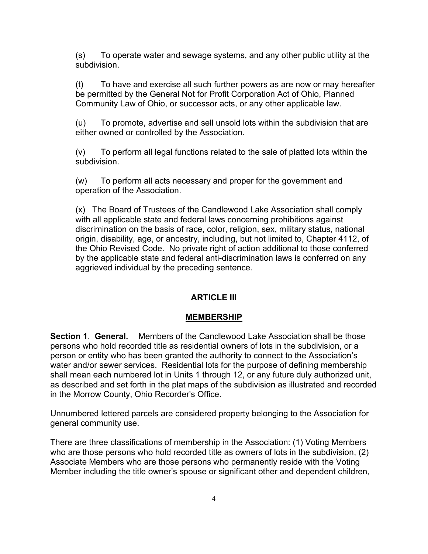(s) To operate water and sewage systems, and any other public utility at the subdivision.

(t) To have and exercise all such further powers as are now or may hereafter be permitted by the General Not for Profit Corporation Act of Ohio, Planned Community Law of Ohio, or successor acts, or any other applicable law.

(u) To promote, advertise and sell unsold lots within the subdivision that are either owned or controlled by the Association.

(v) To perform all legal functions related to the sale of platted lots within the subdivision.

(w) To perform all acts necessary and proper for the government and operation of the Association.

(x) The Board of Trustees of the Candlewood Lake Association shall comply with all applicable state and federal laws concerning prohibitions against discrimination on the basis of race, color, religion, sex, military status, national origin, disability, age, or ancestry, including, but not limited to, Chapter 4112, of the Ohio Revised Code. No private right of action additional to those conferred by the applicable state and federal anti-discrimination laws is conferred on any aggrieved individual by the preceding sentence.

# **ARTICLE III**

# **MEMBERSHIP**

**Section 1**. **General.** Members of the Candlewood Lake Association shall be those persons who hold recorded title as residential owners of lots in the subdivision, or a person or entity who has been granted the authority to connect to the Association's water and/or sewer services. Residential lots for the purpose of defining membership shall mean each numbered lot in Units 1 through 12, or any future duly authorized unit, as described and set forth in the plat maps of the subdivision as illustrated and recorded in the Morrow County, Ohio Recorder's Office.

Unnumbered lettered parcels are considered property belonging to the Association for general community use.

There are three classifications of membership in the Association: (1) Voting Members who are those persons who hold recorded title as owners of lots in the subdivision, (2) Associate Members who are those persons who permanently reside with the Voting Member including the title owner's spouse or significant other and dependent children,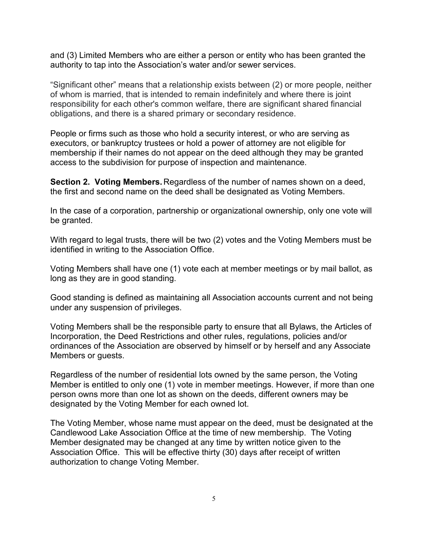and (3) Limited Members who are either a person or entity who has been granted the authority to tap into the Association's water and/or sewer services.

"Significant other" means that a relationship exists between (2) or more people, neither of whom is married, that is intended to remain indefinitely and where there is joint responsibility for each other's common welfare, there are significant shared financial obligations, and there is a shared primary or secondary residence.

People or firms such as those who hold a security interest, or who are serving as executors, or bankruptcy trustees or hold a power of attorney are not eligible for membership if their names do not appear on the deed although they may be granted access to the subdivision for purpose of inspection and maintenance.

**Section 2. Voting Members.** Regardless of the number of names shown on a deed, the first and second name on the deed shall be designated as Voting Members.

In the case of a corporation, partnership or organizational ownership, only one vote will be granted.

With regard to legal trusts, there will be two (2) votes and the Voting Members must be identified in writing to the Association Office.

Voting Members shall have one (1) vote each at member meetings or by mail ballot, as long as they are in good standing.

Good standing is defined as maintaining all Association accounts current and not being under any suspension of privileges.

Voting Members shall be the responsible party to ensure that all Bylaws, the Articles of Incorporation, the Deed Restrictions and other rules, regulations, policies and/or ordinances of the Association are observed by himself or by herself and any Associate Members or guests.

Regardless of the number of residential lots owned by the same person, the Voting Member is entitled to only one (1) vote in member meetings. However, if more than one person owns more than one lot as shown on the deeds, different owners may be designated by the Voting Member for each owned lot.

The Voting Member, whose name must appear on the deed, must be designated at the Candlewood Lake Association Office at the time of new membership. The Voting Member designated may be changed at any time by written notice given to the Association Office. This will be effective thirty (30) days after receipt of written authorization to change Voting Member.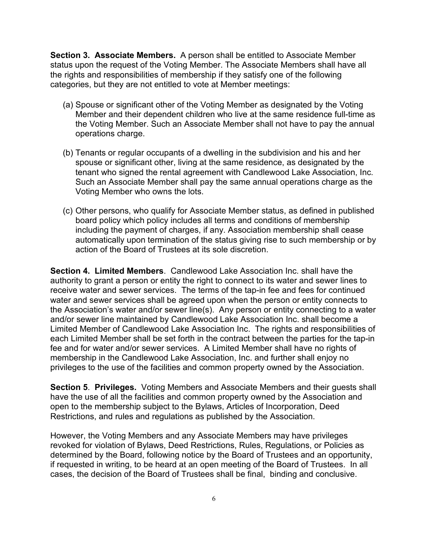**Section 3. Associate Members.** A person shall be entitled to Associate Member status upon the request of the Voting Member. The Associate Members shall have all the rights and responsibilities of membership if they satisfy one of the following categories, but they are not entitled to vote at Member meetings:

- (a) Spouse or significant other of the Voting Member as designated by the Voting Member and their dependent children who live at the same residence full-time as the Voting Member. Such an Associate Member shall not have to pay the annual operations charge.
- (b) Tenants or regular occupants of a dwelling in the subdivision and his and her spouse or significant other, living at the same residence, as designated by the tenant who signed the rental agreement with Candlewood Lake Association, Inc. Such an Associate Member shall pay the same annual operations charge as the Voting Member who owns the lots.
- (c) Other persons, who qualify for Associate Member status, as defined in published board policy which policy includes all terms and conditions of membership including the payment of charges, if any. Association membership shall cease automatically upon termination of the status giving rise to such membership or by action of the Board of Trustees at its sole discretion.

**Section 4. Limited Members**. Candlewood Lake Association Inc. shall have the authority to grant a person or entity the right to connect to its water and sewer lines to receive water and sewer services. The terms of the tap-in fee and fees for continued water and sewer services shall be agreed upon when the person or entity connects to the Association's water and/or sewer line(s). Any person or entity connecting to a water and/or sewer line maintained by Candlewood Lake Association Inc. shall become a Limited Member of Candlewood Lake Association Inc. The rights and responsibilities of each Limited Member shall be set forth in the contract between the parties for the tap-in fee and for water and/or sewer services. A Limited Member shall have no rights of membership in the Candlewood Lake Association, Inc. and further shall enjoy no privileges to the use of the facilities and common property owned by the Association.

**Section 5**. **Privileges.** Voting Members and Associate Members and their guests shall have the use of all the facilities and common property owned by the Association and open to the membership subject to the Bylaws, Articles of Incorporation, Deed Restrictions, and rules and regulations as published by the Association.

However, the Voting Members and any Associate Members may have privileges revoked for violation of Bylaws, Deed Restrictions, Rules, Regulations, or Policies as determined by the Board, following notice by the Board of Trustees and an opportunity, if requested in writing, to be heard at an open meeting of the Board of Trustees. In all cases, the decision of the Board of Trustees shall be final, binding and conclusive.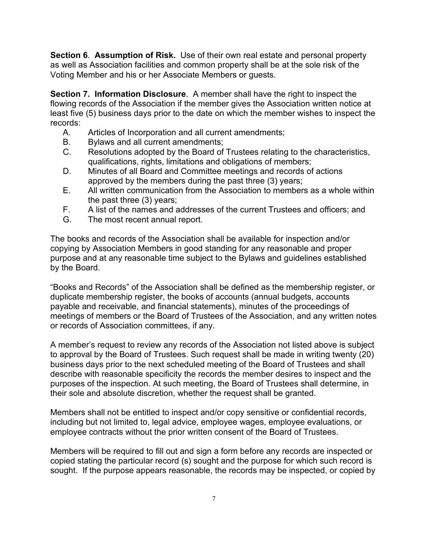**Section 6**. **Assumption of Risk.** Use of their own real estate and personal property as well as Association facilities and common property shall be at the sole risk of the Voting Member and his or her Associate Members or guests.

**Section 7. Information Disclosure**. A member shall have the right to inspect the flowing records of the Association if the member gives the Association written notice at least five (5) business days prior to the date on which the member wishes to inspect the records:

- A. Articles of Incorporation and all current amendments;
- B. Bylaws and all current amendments;
- C. Resolutions adopted by the Board of Trustees relating to the characteristics, qualifications, rights, limitations and obligations of members;
- D. Minutes of all Board and Committee meetings and records of actions approved by the members during the past three (3) years;
- E. All written communication from the Association to members as a whole within the past three (3) years;
- F. A list of the names and addresses of the current Trustees and officers; and <br>G. The most recent annual report.
- The most recent annual report.

The books and records of the Association shall be available for inspection and/or copying by Association Members in good standing for any reasonable and proper purpose and at any reasonable time subject to the Bylaws and guidelines established by the Board.

"Books and Records" of the Association shall be defined as the membership register, or duplicate membership register, the books of accounts (annual budgets, accounts payable and receivable, and financial statements), minutes of the proceedings of meetings of members or the Board of Trustees of the Association, and any written notes or records of Association committees, if any.

A member's request to review any records of the Association not listed above is subject to approval by the Board of Trustees. Such request shall be made in writing twenty (20) business days prior to the next scheduled meeting of the Board of Trustees and shall describe with reasonable specificity the records the member desires to inspect and the purposes of the inspection. At such meeting, the Board of Trustees shall determine, in their sole and absolute discretion, whether the request shall be granted.

Members shall not be entitled to inspect and/or copy sensitive or confidential records, including but not limited to, legal advice, employee wages, employee evaluations, or employee contracts without the prior written consent of the Board of Trustees.

Members will be required to fill out and sign a form before any records are inspected or copied stating the particular record (s) sought and the purpose for which such record is sought. If the purpose appears reasonable, the records may be inspected, or copied by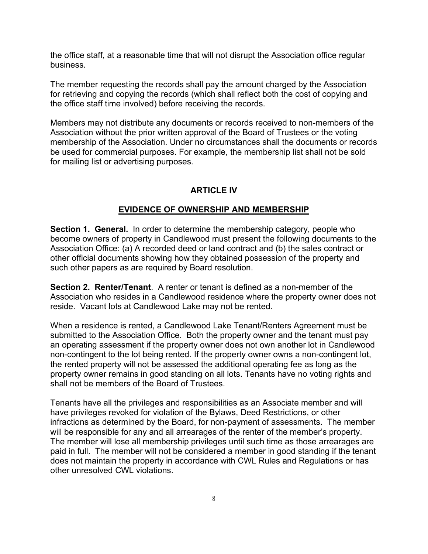the office staff, at a reasonable time that will not disrupt the Association office regular business.

The member requesting the records shall pay the amount charged by the Association for retrieving and copying the records (which shall reflect both the cost of copying and the office staff time involved) before receiving the records.

Members may not distribute any documents or records received to non-members of the Association without the prior written approval of the Board of Trustees or the voting membership of the Association. Under no circumstances shall the documents or records be used for commercial purposes. For example, the membership list shall not be sold for mailing list or advertising purposes.

# **ARTICLE IV**

## **EVIDENCE OF OWNERSHIP AND MEMBERSHIP**

**Section 1. General.** In order to determine the membership category, people who become owners of property in Candlewood must present the following documents to the Association Office: (a) A recorded deed or land contract and (b) the sales contract or other official documents showing how they obtained possession of the property and such other papers as are required by Board resolution.

**Section 2. Renter/Tenant**. A renter or tenant is defined as a non-member of the Association who resides in a Candlewood residence where the property owner does not reside. Vacant lots at Candlewood Lake may not be rented.

When a residence is rented, a Candlewood Lake Tenant/Renters Agreement must be submitted to the Association Office. Both the property owner and the tenant must pay an operating assessment if the property owner does not own another lot in Candlewood non-contingent to the lot being rented. If the property owner owns a non-contingent lot, the rented property will not be assessed the additional operating fee as long as the property owner remains in good standing on all lots. Tenants have no voting rights and shall not be members of the Board of Trustees.

Tenants have all the privileges and responsibilities as an Associate member and will have privileges revoked for violation of the Bylaws, Deed Restrictions, or other infractions as determined by the Board, for non-payment of assessments. The member will be responsible for any and all arrearages of the renter of the member's property. The member will lose all membership privileges until such time as those arrearages are paid in full. The member will not be considered a member in good standing if the tenant does not maintain the property in accordance with CWL Rules and Regulations or has other unresolved CWL violations.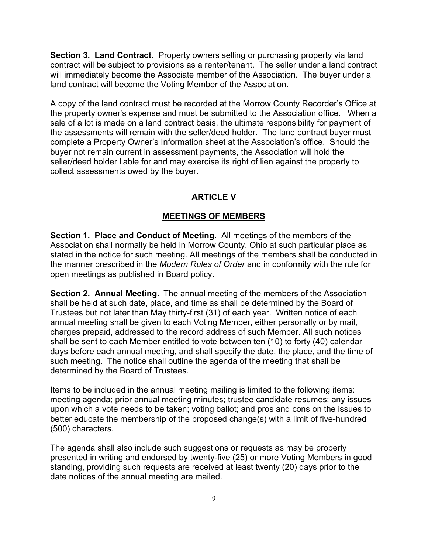**Section 3. Land Contract.** Property owners selling or purchasing property via land contract will be subject to provisions as a renter/tenant. The seller under a land contract will immediately become the Associate member of the Association. The buyer under a land contract will become the Voting Member of the Association.

A copy of the land contract must be recorded at the Morrow County Recorder's Office at the property owner's expense and must be submitted to the Association office. When a sale of a lot is made on a land contract basis, the ultimate responsibility for payment of the assessments will remain with the seller/deed holder. The land contract buyer must complete a Property Owner's Information sheet at the Association's office. Should the buyer not remain current in assessment payments, the Association will hold the seller/deed holder liable for and may exercise its right of lien against the property to collect assessments owed by the buyer.

# **ARTICLE V**

# **MEETINGS OF MEMBERS**

**Section 1. Place and Conduct of Meeting.** All meetings of the members of the Association shall normally be held in Morrow County, Ohio at such particular place as stated in the notice for such meeting. All meetings of the members shall be conducted in the manner prescribed in the *Modern Rules of Order* and in conformity with the rule for open meetings as published in Board policy.

**Section 2. Annual Meeting.** The annual meeting of the members of the Association shall be held at such date, place, and time as shall be determined by the Board of Trustees but not later than May thirty-first (31) of each year. Written notice of each annual meeting shall be given to each Voting Member, either personally or by mail, charges prepaid, addressed to the record address of such Member. All such notices shall be sent to each Member entitled to vote between ten (10) to forty (40) calendar days before each annual meeting, and shall specify the date, the place, and the time of such meeting. The notice shall outline the agenda of the meeting that shall be determined by the Board of Trustees.

Items to be included in the annual meeting mailing is limited to the following items: meeting agenda; prior annual meeting minutes; trustee candidate resumes; any issues upon which a vote needs to be taken; voting ballot; and pros and cons on the issues to better educate the membership of the proposed change(s) with a limit of five-hundred (500) characters.

The agenda shall also include such suggestions or requests as may be properly presented in writing and endorsed by twenty-five (25) or more Voting Members in good standing, providing such requests are received at least twenty (20) days prior to the date notices of the annual meeting are mailed.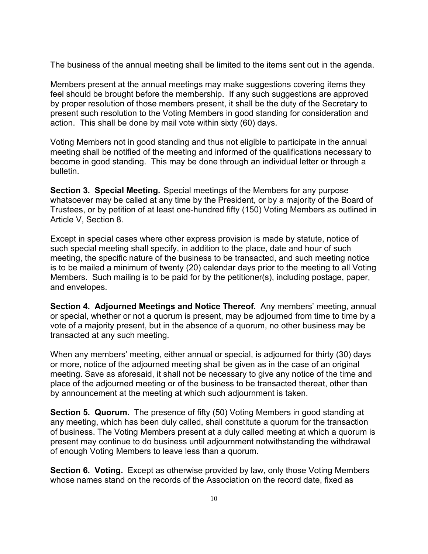The business of the annual meeting shall be limited to the items sent out in the agenda.

Members present at the annual meetings may make suggestions covering items they feel should be brought before the membership. If any such suggestions are approved by proper resolution of those members present, it shall be the duty of the Secretary to present such resolution to the Voting Members in good standing for consideration and action. This shall be done by mail vote within sixty (60) days.

Voting Members not in good standing and thus not eligible to participate in the annual meeting shall be notified of the meeting and informed of the qualifications necessary to become in good standing. This may be done through an individual letter or through a bulletin.

**Section 3. Special Meeting.** Special meetings of the Members for any purpose whatsoever may be called at any time by the President, or by a majority of the Board of Trustees, or by petition of at least one-hundred fifty (150) Voting Members as outlined in Article V, Section 8.

Except in special cases where other express provision is made by statute, notice of such special meeting shall specify, in addition to the place, date and hour of such meeting, the specific nature of the business to be transacted, and such meeting notice is to be mailed a minimum of twenty (20) calendar days prior to the meeting to all Voting Members. Such mailing is to be paid for by the petitioner(s), including postage, paper, and envelopes.

**Section 4. Adjourned Meetings and Notice Thereof.** Any members' meeting, annual or special, whether or not a quorum is present, may be adjourned from time to time by a vote of a majority present, but in the absence of a quorum, no other business may be transacted at any such meeting.

When any members' meeting, either annual or special, is adjourned for thirty (30) days or more, notice of the adjourned meeting shall be given as in the case of an original meeting. Save as aforesaid, it shall not be necessary to give any notice of the time and place of the adjourned meeting or of the business to be transacted thereat, other than by announcement at the meeting at which such adjournment is taken.

**Section 5. Quorum.** The presence of fifty (50) Voting Members in good standing at any meeting, which has been duly called, shall constitute a quorum for the transaction of business. The Voting Members present at a duly called meeting at which a quorum is present may continue to do business until adjournment notwithstanding the withdrawal of enough Voting Members to leave less than a quorum.

**Section 6. Voting.** Except as otherwise provided by law, only those Voting Members whose names stand on the records of the Association on the record date, fixed as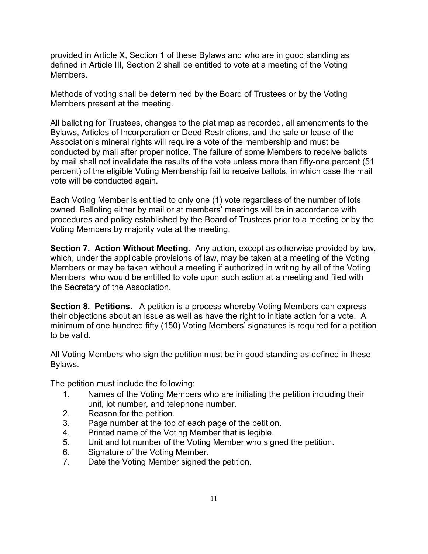provided in Article X, Section 1 of these Bylaws and who are in good standing as defined in Article III, Section 2 shall be entitled to vote at a meeting of the Voting Members.

Methods of voting shall be determined by the Board of Trustees or by the Voting Members present at the meeting.

All balloting for Trustees, changes to the plat map as recorded, all amendments to the Bylaws, Articles of Incorporation or Deed Restrictions, and the sale or lease of the Association's mineral rights will require a vote of the membership and must be conducted by mail after proper notice. The failure of some Members to receive ballots by mail shall not invalidate the results of the vote unless more than fifty-one percent (51 percent) of the eligible Voting Membership fail to receive ballots, in which case the mail vote will be conducted again.

Each Voting Member is entitled to only one (1) vote regardless of the number of lots owned. Balloting either by mail or at members' meetings will be in accordance with procedures and policy established by the Board of Trustees prior to a meeting or by the Voting Members by majority vote at the meeting.

**Section 7. Action Without Meeting.** Any action, except as otherwise provided by law, which, under the applicable provisions of law, may be taken at a meeting of the Voting Members or may be taken without a meeting if authorized in writing by all of the Voting Members who would be entitled to vote upon such action at a meeting and filed with the Secretary of the Association.

**Section 8. Petitions.** A petition is a process whereby Voting Members can express their objections about an issue as well as have the right to initiate action for a vote. A minimum of one hundred fifty (150) Voting Members' signatures is required for a petition to be valid.

All Voting Members who sign the petition must be in good standing as defined in these Bylaws.

The petition must include the following:

- 1. Names of the Voting Members who are initiating the petition including their unit, lot number, and telephone number.
- 2. Reason for the petition.
- 3. Page number at the top of each page of the petition.
- 4. Printed name of the Voting Member that is legible.
- 5. Unit and lot number of the Voting Member who signed the petition.
- 6. Signature of the Voting Member.<br>7. Date the Voting Member signed t
- Date the Voting Member signed the petition.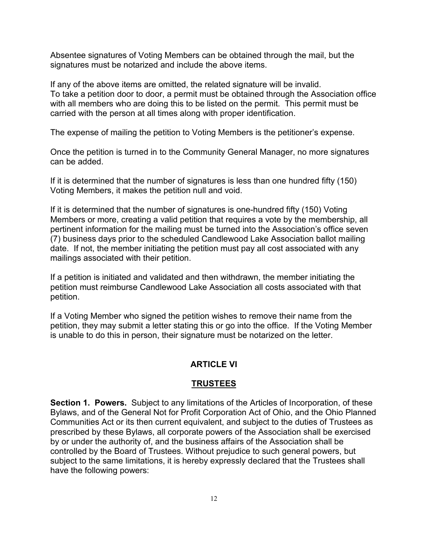Absentee signatures of Voting Members can be obtained through the mail, but the signatures must be notarized and include the above items.

If any of the above items are omitted, the related signature will be invalid. To take a petition door to door, a permit must be obtained through the Association office with all members who are doing this to be listed on the permit. This permit must be carried with the person at all times along with proper identification.

The expense of mailing the petition to Voting Members is the petitioner's expense.

Once the petition is turned in to the Community General Manager, no more signatures can be added.

If it is determined that the number of signatures is less than one hundred fifty (150) Voting Members, it makes the petition null and void.

If it is determined that the number of signatures is one-hundred fifty (150) Voting Members or more, creating a valid petition that requires a vote by the membership, all pertinent information for the mailing must be turned into the Association's office seven (7) business days prior to the scheduled Candlewood Lake Association ballot mailing date. If not, the member initiating the petition must pay all cost associated with any mailings associated with their petition.

If a petition is initiated and validated and then withdrawn, the member initiating the petition must reimburse Candlewood Lake Association all costs associated with that petition.

If a Voting Member who signed the petition wishes to remove their name from the petition, they may submit a letter stating this or go into the office. If the Voting Member is unable to do this in person, their signature must be notarized on the letter.

## **ARTICLE VI**

## **TRUSTEES**

**Section 1. Powers.** Subject to any limitations of the Articles of Incorporation, of these Bylaws, and of the General Not for Profit Corporation Act of Ohio, and the Ohio Planned Communities Act or its then current equivalent, and subject to the duties of Trustees as prescribed by these Bylaws, all corporate powers of the Association shall be exercised by or under the authority of, and the business affairs of the Association shall be controlled by the Board of Trustees. Without prejudice to such general powers, but subject to the same limitations, it is hereby expressly declared that the Trustees shall have the following powers: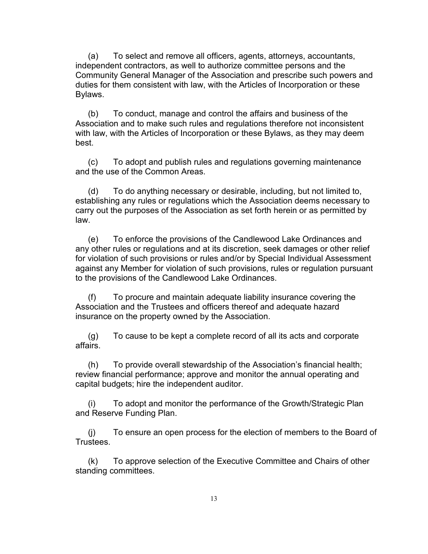(a) To select and remove all officers, agents, attorneys, accountants, independent contractors, as well to authorize committee persons and the Community General Manager of the Association and prescribe such powers and duties for them consistent with law, with the Articles of Incorporation or these Bylaws.

(b) To conduct, manage and control the affairs and business of the Association and to make such rules and regulations therefore not inconsistent with law, with the Articles of Incorporation or these Bylaws, as they may deem best.

(c) To adopt and publish rules and regulations governing maintenance and the use of the Common Areas.

(d) To do anything necessary or desirable, including, but not limited to, establishing any rules or regulations which the Association deems necessary to carry out the purposes of the Association as set forth herein or as permitted by law.

(e) To enforce the provisions of the Candlewood Lake Ordinances and any other rules or regulations and at its discretion, seek damages or other relief for violation of such provisions or rules and/or by Special Individual Assessment against any Member for violation of such provisions, rules or regulation pursuant to the provisions of the Candlewood Lake Ordinances.

(f) To procure and maintain adequate liability insurance covering the Association and the Trustees and officers thereof and adequate hazard insurance on the property owned by the Association.

(g) To cause to be kept a complete record of all its acts and corporate affairs.

(h) To provide overall stewardship of the Association's financial health; review financial performance; approve and monitor the annual operating and capital budgets; hire the independent auditor.

(i) To adopt and monitor the performance of the Growth/Strategic Plan and Reserve Funding Plan.

(j) To ensure an open process for the election of members to the Board of Trustees.

(k) To approve selection of the Executive Committee and Chairs of other standing committees.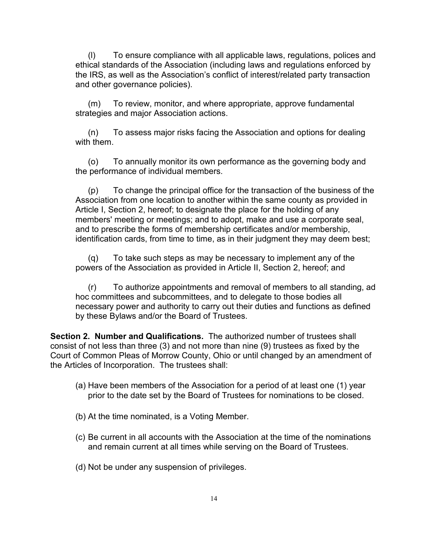(l) To ensure compliance with all applicable laws, regulations, polices and ethical standards of the Association (including laws and regulations enforced by the IRS, as well as the Association's conflict of interest/related party transaction and other governance policies).

(m) To review, monitor, and where appropriate, approve fundamental strategies and major Association actions.

(n) To assess major risks facing the Association and options for dealing with them.

(o) To annually monitor its own performance as the governing body and the performance of individual members.

(p) To change the principal office for the transaction of the business of the Association from one location to another within the same county as provided in Article I, Section 2, hereof; to designate the place for the holding of any members' meeting or meetings; and to adopt, make and use a corporate seal, and to prescribe the forms of membership certificates and/or membership, identification cards, from time to time, as in their judgment they may deem best;

(q) To take such steps as may be necessary to implement any of the powers of the Association as provided in Article II, Section 2, hereof; and

(r) To authorize appointments and removal of members to all standing, ad hoc committees and subcommittees, and to delegate to those bodies all necessary power and authority to carry out their duties and functions as defined by these Bylaws and/or the Board of Trustees.

**Section 2. Number and Qualifications.** The authorized number of trustees shall consist of not less than three (3) and not more than nine (9) trustees as fixed by the Court of Common Pleas of Morrow County, Ohio or until changed by an amendment of the Articles of Incorporation. The trustees shall:

- (a) Have been members of the Association for a period of at least one (1) year prior to the date set by the Board of Trustees for nominations to be closed.
- (b) At the time nominated, is a Voting Member.
- (c) Be current in all accounts with the Association at the time of the nominations and remain current at all times while serving on the Board of Trustees.
- (d) Not be under any suspension of privileges.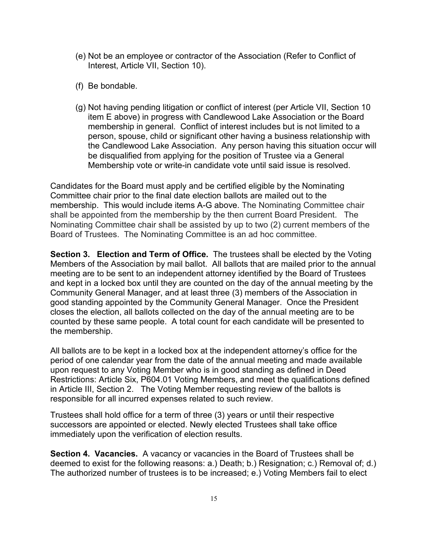- (e) Not be an employee or contractor of the Association (Refer to Conflict of Interest, Article VII, Section 10).
- (f) Be bondable.
- (g) Not having pending litigation or conflict of interest (per Article VII, Section 10 item E above) in progress with Candlewood Lake Association or the Board membership in general. Conflict of interest includes but is not limited to a person, spouse, child or significant other having a business relationship with the Candlewood Lake Association. Any person having this situation occur will be disqualified from applying for the position of Trustee via a General Membership vote or write-in candidate vote until said issue is resolved.

Candidates for the Board must apply and be certified eligible by the Nominating Committee chair prior to the final date election ballots are mailed out to the membership. This would include items A-G above. The Nominating Committee chair shall be appointed from the membership by the then current Board President. The Nominating Committee chair shall be assisted by up to two (2) current members of the Board of Trustees. The Nominating Committee is an ad hoc committee.

**Section 3. Election and Term of Office.** The trustees shall be elected by the Voting Members of the Association by mail ballot. All ballots that are mailed prior to the annual meeting are to be sent to an independent attorney identified by the Board of Trustees and kept in a locked box until they are counted on the day of the annual meeting by the Community General Manager, and at least three (3) members of the Association in good standing appointed by the Community General Manager. Once the President closes the election, all ballots collected on the day of the annual meeting are to be counted by these same people. A total count for each candidate will be presented to the membership.

All ballots are to be kept in a locked box at the independent attorney's office for the period of one calendar year from the date of the annual meeting and made available upon request to any Voting Member who is in good standing as defined in Deed Restrictions: Article Six, P604.01 Voting Members, and meet the qualifications defined in Article III, Section 2. The Voting Member requesting review of the ballots is responsible for all incurred expenses related to such review.

Trustees shall hold office for a term of three (3) years or until their respective successors are appointed or elected. Newly elected Trustees shall take office immediately upon the verification of election results.

**Section 4. Vacancies.** A vacancy or vacancies in the Board of Trustees shall be deemed to exist for the following reasons: a.) Death; b.) Resignation; c.) Removal of; d.) The authorized number of trustees is to be increased; e.) Voting Members fail to elect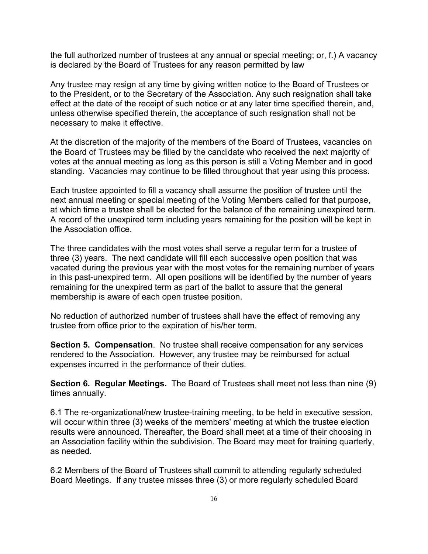the full authorized number of trustees at any annual or special meeting; or, f.) A vacancy is declared by the Board of Trustees for any reason permitted by law

Any trustee may resign at any time by giving written notice to the Board of Trustees or to the President, or to the Secretary of the Association. Any such resignation shall take effect at the date of the receipt of such notice or at any later time specified therein, and, unless otherwise specified therein, the acceptance of such resignation shall not be necessary to make it effective.

At the discretion of the majority of the members of the Board of Trustees, vacancies on the Board of Trustees may be filled by the candidate who received the next majority of votes at the annual meeting as long as this person is still a Voting Member and in good standing. Vacancies may continue to be filled throughout that year using this process.

Each trustee appointed to fill a vacancy shall assume the position of trustee until the next annual meeting or special meeting of the Voting Members called for that purpose, at which time a trustee shall be elected for the balance of the remaining unexpired term. A record of the unexpired term including years remaining for the position will be kept in the Association office.

The three candidates with the most votes shall serve a regular term for a trustee of three (3) years. The next candidate will fill each successive open position that was vacated during the previous year with the most votes for the remaining number of years in this past-unexpired term. All open positions will be identified by the number of years remaining for the unexpired term as part of the ballot to assure that the general membership is aware of each open trustee position.

No reduction of authorized number of trustees shall have the effect of removing any trustee from office prior to the expiration of his/her term.

**Section 5. Compensation**. No trustee shall receive compensation for any services rendered to the Association. However, any trustee may be reimbursed for actual expenses incurred in the performance of their duties.

**Section 6. Regular Meetings.** The Board of Trustees shall meet not less than nine (9) times annually.

6.1 The re-organizational/new trustee-training meeting, to be held in executive session, will occur within three (3) weeks of the members' meeting at which the trustee election results were announced. Thereafter, the Board shall meet at a time of their choosing in an Association facility within the subdivision. The Board may meet for training quarterly, as needed.

6.2 Members of the Board of Trustees shall commit to attending regularly scheduled Board Meetings. If any trustee misses three (3) or more regularly scheduled Board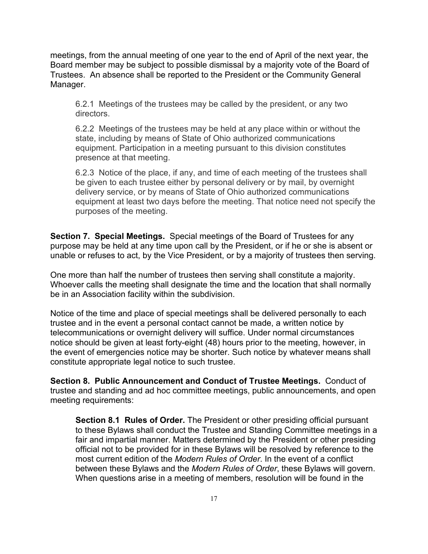meetings, from the annual meeting of one year to the end of April of the next year, the Board member may be subject to possible dismissal by a majority vote of the Board of Trustees. An absence shall be reported to the President or the Community General Manager.

6.2.1 Meetings of the trustees may be called by the president, or any two directors.

6.2.2 Meetings of the trustees may be held at any place within or without the state, including by means of State of Ohio authorized communications equipment. Participation in a meeting pursuant to this division constitutes presence at that meeting.

6.2.3 Notice of the place, if any, and time of each meeting of the trustees shall be given to each trustee either by personal delivery or by mail, by overnight delivery service, or by means of State of Ohio authorized communications equipment at least two days before the meeting. That notice need not specify the purposes of the meeting.

**Section 7. Special Meetings.** Special meetings of the Board of Trustees for any purpose may be held at any time upon call by the President, or if he or she is absent or unable or refuses to act, by the Vice President, or by a majority of trustees then serving.

One more than half the number of trustees then serving shall constitute a majority. Whoever calls the meeting shall designate the time and the location that shall normally be in an Association facility within the subdivision.

Notice of the time and place of special meetings shall be delivered personally to each trustee and in the event a personal contact cannot be made, a written notice by telecommunications or overnight delivery will suffice. Under normal circumstances notice should be given at least forty-eight (48) hours prior to the meeting, however, in the event of emergencies notice may be shorter. Such notice by whatever means shall constitute appropriate legal notice to such trustee.

**Section 8. Public Announcement and Conduct of Trustee Meetings.** Conduct of trustee and standing and ad hoc committee meetings, public announcements, and open meeting requirements:

**Section 8.1 Rules of Order.** The President or other presiding official pursuant to these Bylaws shall conduct the Trustee and Standing Committee meetings in a fair and impartial manner. Matters determined by the President or other presiding official not to be provided for in these Bylaws will be resolved by reference to the most current edition of the *Modern Rules of Order*. In the event of a conflict between these Bylaws and the *Modern Rules of Order*, these Bylaws will govern. When questions arise in a meeting of members, resolution will be found in the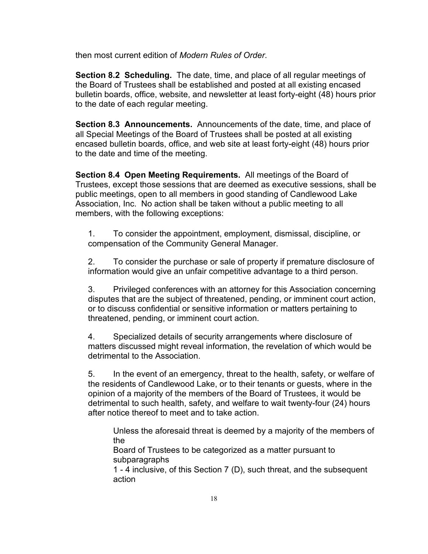then most current edition of *Modern Rules of Order*.

**Section 8.2 Scheduling.** The date, time, and place of all regular meetings of the Board of Trustees shall be established and posted at all existing encased bulletin boards, office, website, and newsletter at least forty-eight (48) hours prior to the date of each regular meeting.

 **Section 8.3 Announcements.** Announcements of the date, time, and place of all Special Meetings of the Board of Trustees shall be posted at all existing encased bulletin boards, office, and web site at least forty-eight (48) hours prior to the date and time of the meeting.

 **Section 8.4 Open Meeting Requirements.** All meetings of the Board of Trustees, except those sessions that are deemed as executive sessions, shall be public meetings, open to all members in good standing of Candlewood Lake Association, Inc. No action shall be taken without a public meeting to all members, with the following exceptions:

1. To consider the appointment, employment, dismissal, discipline, or compensation of the Community General Manager.

2. To consider the purchase or sale of property if premature disclosure of information would give an unfair competitive advantage to a third person.

3. Privileged conferences with an attorney for this Association concerning disputes that are the subject of threatened, pending, or imminent court action, or to discuss confidential or sensitive information or matters pertaining to threatened, pending, or imminent court action.

4. Specialized details of security arrangements where disclosure of matters discussed might reveal information, the revelation of which would be detrimental to the Association.

5. In the event of an emergency, threat to the health, safety, or welfare of the residents of Candlewood Lake, or to their tenants or guests, where in the opinion of a majority of the members of the Board of Trustees, it would be detrimental to such health, safety, and welfare to wait twenty-four (24) hours after notice thereof to meet and to take action.

Unless the aforesaid threat is deemed by a majority of the members of the

Board of Trustees to be categorized as a matter pursuant to subparagraphs

1 - 4 inclusive, of this Section 7 (D), such threat, and the subsequent action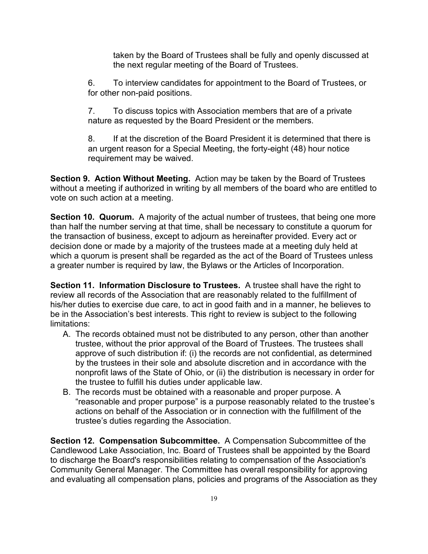taken by the Board of Trustees shall be fully and openly discussed at the next regular meeting of the Board of Trustees.

6. To interview candidates for appointment to the Board of Trustees, or for other non-paid positions.

7. To discuss topics with Association members that are of a private nature as requested by the Board President or the members.

8. If at the discretion of the Board President it is determined that there is an urgent reason for a Special Meeting, the forty-eight (48) hour notice requirement may be waived.

**Section 9. Action Without Meeting.** Action may be taken by the Board of Trustees without a meeting if authorized in writing by all members of the board who are entitled to vote on such action at a meeting.

**Section 10. Quorum.** A majority of the actual number of trustees, that being one more than half the number serving at that time, shall be necessary to constitute a quorum for the transaction of business, except to adjourn as hereinafter provided. Every act or decision done or made by a majority of the trustees made at a meeting duly held at which a quorum is present shall be regarded as the act of the Board of Trustees unless a greater number is required by law, the Bylaws or the Articles of Incorporation.

**Section 11. Information Disclosure to Trustees.** A trustee shall have the right to review all records of the Association that are reasonably related to the fulfillment of his/her duties to exercise due care, to act in good faith and in a manner, he believes to be in the Association's best interests. This right to review is subject to the following limitations:

- A. The records obtained must not be distributed to any person, other than another trustee, without the prior approval of the Board of Trustees. The trustees shall approve of such distribution if: (i) the records are not confidential, as determined by the trustees in their sole and absolute discretion and in accordance with the nonprofit laws of the State of Ohio, or (ii) the distribution is necessary in order for the trustee to fulfill his duties under applicable law.
- B. The records must be obtained with a reasonable and proper purpose. A "reasonable and proper purpose" is a purpose reasonably related to the trustee's actions on behalf of the Association or in connection with the fulfillment of the trustee's duties regarding the Association.

**Section 12. Compensation Subcommittee.** A Compensation Subcommittee of the Candlewood Lake Association, Inc. Board of Trustees shall be appointed by the Board to discharge the Board's responsibilities relating to compensation of the Association's Community General Manager. The Committee has overall responsibility for approving and evaluating all compensation plans, policies and programs of the Association as they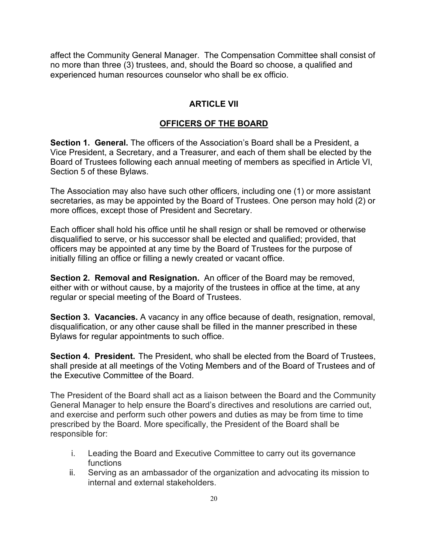affect the Community General Manager. The Compensation Committee shall consist of no more than three (3) trustees, and, should the Board so choose, a qualified and experienced human resources counselor who shall be ex officio.

#### **ARTICLE VII**

#### **OFFICERS OF THE BOARD**

**Section 1. General.** The officers of the Association's Board shall be a President, a Vice President, a Secretary, and a Treasurer, and each of them shall be elected by the Board of Trustees following each annual meeting of members as specified in Article VI, Section 5 of these Bylaws.

The Association may also have such other officers, including one (1) or more assistant secretaries, as may be appointed by the Board of Trustees. One person may hold (2) or more offices, except those of President and Secretary.

Each officer shall hold his office until he shall resign or shall be removed or otherwise disqualified to serve, or his successor shall be elected and qualified; provided, that officers may be appointed at any time by the Board of Trustees for the purpose of initially filling an office or filling a newly created or vacant office.

**Section 2. Removal and Resignation.** An officer of the Board may be removed, either with or without cause, by a majority of the trustees in office at the time, at any regular or special meeting of the Board of Trustees.

**Section 3. Vacancies.** A vacancy in any office because of death, resignation, removal, disqualification, or any other cause shall be filled in the manner prescribed in these Bylaws for regular appointments to such office.

**Section 4. President.** The President, who shall be elected from the Board of Trustees, shall preside at all meetings of the Voting Members and of the Board of Trustees and of the Executive Committee of the Board.

The President of the Board shall act as a liaison between the Board and the Community General Manager to help ensure the Board's directives and resolutions are carried out, and exercise and perform such other powers and duties as may be from time to time prescribed by the Board. More specifically, the President of the Board shall be responsible for:

- i. Leading the Board and Executive Committee to carry out its governance functions
- ii. Serving as an ambassador of the organization and advocating its mission to internal and external stakeholders.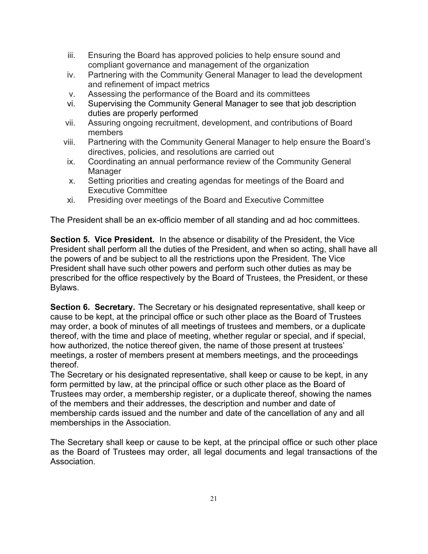- iii. Ensuring the Board has approved policies to help ensure sound and compliant governance and management of the organization
- iv. Partnering with the Community General Manager to lead the development and refinement of impact metrics
- v. Assessing the performance of the Board and its committees
- vi. Supervising the Community General Manager to see that job description duties are properly performed
- vii. Assuring ongoing recruitment, development, and contributions of Board members
- viii. Partnering with the Community General Manager to help ensure the Board's directives, policies, and resolutions are carried out
- ix. Coordinating an annual performance review of the Community General **Manager**
- x. Setting priorities and creating agendas for meetings of the Board and Executive Committee
- xi. Presiding over meetings of the Board and Executive Committee

The President shall be an ex-officio member of all standing and ad hoc committees.

**Section 5. Vice President.** In the absence or disability of the President, the Vice President shall perform all the duties of the President, and when so acting, shall have all the powers of and be subject to all the restrictions upon the President. The Vice President shall have such other powers and perform such other duties as may be prescribed for the office respectively by the Board of Trustees, the President, or these Bylaws.

**Section 6. Secretary.** The Secretary or his designated representative, shall keep or cause to be kept, at the principal office or such other place as the Board of Trustees may order, a book of minutes of all meetings of trustees and members, or a duplicate thereof, with the time and place of meeting, whether regular or special, and if special, how authorized, the notice thereof given, the name of those present at trustees' meetings, a roster of members present at members meetings, and the proceedings thereof.

The Secretary or his designated representative, shall keep or cause to be kept, in any form permitted by law, at the principal office or such other place as the Board of Trustees may order, a membership register, or a duplicate thereof, showing the names of the members and their addresses, the description and number and date of membership cards issued and the number and date of the cancellation of any and all memberships in the Association.

The Secretary shall keep or cause to be kept, at the principal office or such other place as the Board of Trustees may order, all legal documents and legal transactions of the Association.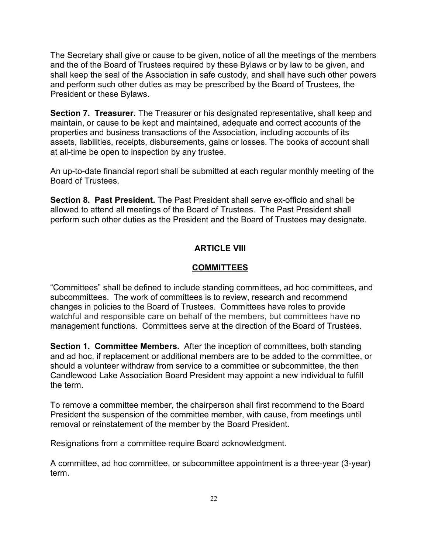The Secretary shall give or cause to be given, notice of all the meetings of the members and the of the Board of Trustees required by these Bylaws or by law to be given, and shall keep the seal of the Association in safe custody, and shall have such other powers and perform such other duties as may be prescribed by the Board of Trustees, the President or these Bylaws.

**Section 7. Treasurer.** The Treasurer or his designated representative, shall keep and maintain, or cause to be kept and maintained, adequate and correct accounts of the properties and business transactions of the Association, including accounts of its assets, liabilities, receipts, disbursements, gains or losses. The books of account shall at all-time be open to inspection by any trustee.

An up-to-date financial report shall be submitted at each regular monthly meeting of the Board of Trustees.

**Section 8. Past President.** The Past President shall serve ex-officio and shall be allowed to attend all meetings of the Board of Trustees. The Past President shall perform such other duties as the President and the Board of Trustees may designate.

# **ARTICLE VIII**

# **COMMITTEES**

"Committees" shall be defined to include standing committees, ad hoc committees, and subcommittees. The work of committees is to review, research and recommend changes in policies to the Board of Trustees. Committees have roles to provide watchful and responsible care on behalf of the members, but committees have no management functions. Committees serve at the direction of the Board of Trustees.

**Section 1. Committee Members.** After the inception of committees, both standing and ad hoc, if replacement or additional members are to be added to the committee, or should a volunteer withdraw from service to a committee or subcommittee, the then Candlewood Lake Association Board President may appoint a new individual to fulfill the term.

To remove a committee member, the chairperson shall first recommend to the Board President the suspension of the committee member, with cause, from meetings until removal or reinstatement of the member by the Board President.

Resignations from a committee require Board acknowledgment.

A committee, ad hoc committee, or subcommittee appointment is a three-year (3-year) term.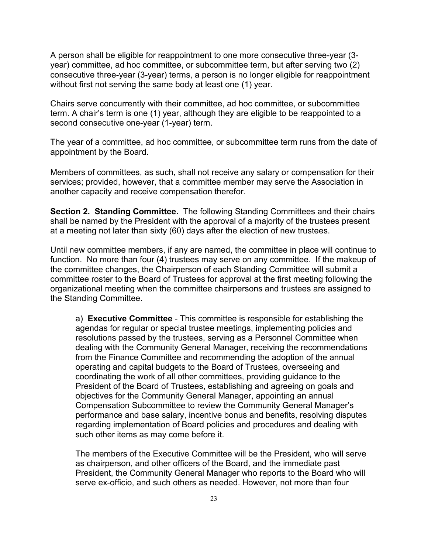A person shall be eligible for reappointment to one more consecutive three-year (3 year) committee, ad hoc committee, or subcommittee term, but after serving two (2) consecutive three-year (3-year) terms, a person is no longer eligible for reappointment without first not serving the same body at least one (1) year.

Chairs serve concurrently with their committee, ad hoc committee, or subcommittee term. A chair's term is one (1) year, although they are eligible to be reappointed to a second consecutive one-year (1-year) term.

The year of a committee, ad hoc committee, or subcommittee term runs from the date of appointment by the Board.

Members of committees, as such, shall not receive any salary or compensation for their services; provided, however, that a committee member may serve the Association in another capacity and receive compensation therefor.

**Section 2. Standing Committee.** The following Standing Committees and their chairs shall be named by the President with the approval of a majority of the trustees present at a meeting not later than sixty (60) days after the election of new trustees.

Until new committee members, if any are named, the committee in place will continue to function. No more than four (4) trustees may serve on any committee. If the makeup of the committee changes, the Chairperson of each Standing Committee will submit a committee roster to the Board of Trustees for approval at the first meeting following the organizational meeting when the committee chairpersons and trustees are assigned to the Standing Committee.

a) **Executive Committee** - This committee is responsible for establishing the agendas for regular or special trustee meetings, implementing policies and resolutions passed by the trustees, serving as a Personnel Committee when dealing with the Community General Manager, receiving the recommendations from the Finance Committee and recommending the adoption of the annual operating and capital budgets to the Board of Trustees, overseeing and coordinating the work of all other committees, providing guidance to the President of the Board of Trustees, establishing and agreeing on goals and objectives for the Community General Manager, appointing an annual Compensation Subcommittee to review the Community General Manager's performance and base salary, incentive bonus and benefits, resolving disputes regarding implementation of Board policies and procedures and dealing with such other items as may come before it.

The members of the Executive Committee will be the President, who will serve as chairperson, and other officers of the Board, and the immediate past President, the Community General Manager who reports to the Board who will serve ex-officio, and such others as needed. However, not more than four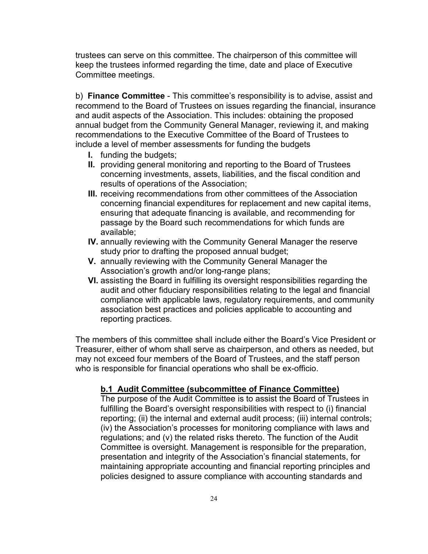trustees can serve on this committee. The chairperson of this committee will keep the trustees informed regarding the time, date and place of Executive Committee meetings.

b) **Finance Committee** - This committee's responsibility is to advise, assist and recommend to the Board of Trustees on issues regarding the financial, insurance and audit aspects of the Association. This includes: obtaining the proposed annual budget from the Community General Manager, reviewing it, and making recommendations to the Executive Committee of the Board of Trustees to include a level of member assessments for funding the budgets

- **I.** funding the budgets;
- **II.** providing general monitoring and reporting to the Board of Trustees concerning investments, assets, liabilities, and the fiscal condition and results of operations of the Association;
- **III.** receiving recommendations from other committees of the Association concerning financial expenditures for replacement and new capital items, ensuring that adequate financing is available, and recommending for passage by the Board such recommendations for which funds are available;
- **IV.** annually reviewing with the Community General Manager the reserve study prior to drafting the proposed annual budget;
- **V.** annually reviewing with the Community General Manager the Association's growth and/or long-range plans;
- **VI.** assisting the Board in fulfilling its oversight responsibilities regarding the audit and other fiduciary responsibilities relating to the legal and financial compliance with applicable laws, regulatory requirements, and community association best practices and policies applicable to accounting and reporting practices.

The members of this committee shall include either the Board's Vice President or Treasurer, either of whom shall serve as chairperson, and others as needed, but may not exceed four members of the Board of Trustees, and the staff person who is responsible for financial operations who shall be ex-officio.

#### **b.1 Audit Committee (subcommittee of Finance Committee)**

The purpose of the Audit Committee is to assist the Board of Trustees in fulfilling the Board's oversight responsibilities with respect to (i) financial reporting; (ii) the internal and external audit process; (iii) internal controls; (iv) the Association's processes for monitoring compliance with laws and regulations; and (v) the related risks thereto. The function of the Audit Committee is oversight. Management is responsible for the preparation, presentation and integrity of the Association's financial statements, for maintaining appropriate accounting and financial reporting principles and policies designed to assure compliance with accounting standards and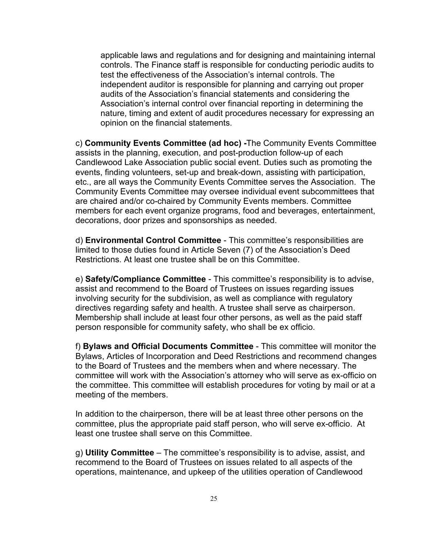applicable laws and regulations and for designing and maintaining internal controls. The Finance staff is responsible for conducting periodic audits to test the effectiveness of the Association's internal controls. The independent auditor is responsible for planning and carrying out proper audits of the Association's financial statements and considering the Association's internal control over financial reporting in determining the nature, timing and extent of audit procedures necessary for expressing an opinion on the financial statements.

c) **Community Events Committee (ad hoc) -**The Community Events Committee assists in the planning, execution, and post-production follow-up of each Candlewood Lake Association public social event. Duties such as promoting the events, finding volunteers, set-up and break-down, assisting with participation, etc., are all ways the Community Events Committee serves the Association. The Community Events Committee may oversee individual event subcommittees that are chaired and/or co-chaired by Community Events members. Committee members for each event organize programs, food and beverages, entertainment, decorations, door prizes and sponsorships as needed.

d) **Environmental Control Committee** - This committee's responsibilities are limited to those duties found in Article Seven (7) of the Association's Deed Restrictions. At least one trustee shall be on this Committee.

e) **Safety/Compliance Committee** - This committee's responsibility is to advise, assist and recommend to the Board of Trustees on issues regarding issues involving security for the subdivision, as well as compliance with regulatory directives regarding safety and health. A trustee shall serve as chairperson. Membership shall include at least four other persons, as well as the paid staff person responsible for community safety, who shall be ex officio.

f) **Bylaws and Official Documents Committee** - This committee will monitor the Bylaws, Articles of Incorporation and Deed Restrictions and recommend changes to the Board of Trustees and the members when and where necessary. The committee will work with the Association's attorney who will serve as ex-officio on the committee. This committee will establish procedures for voting by mail or at a meeting of the members.

In addition to the chairperson, there will be at least three other persons on the committee, plus the appropriate paid staff person, who will serve ex-officio. At least one trustee shall serve on this Committee.

g) **Utility Committee** – The committee's responsibility is to advise, assist, and recommend to the Board of Trustees on issues related to all aspects of the operations, maintenance, and upkeep of the utilities operation of Candlewood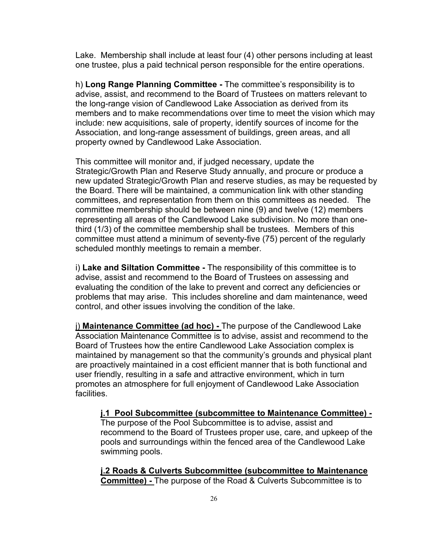Lake. Membership shall include at least four (4) other persons including at least one trustee, plus a paid technical person responsible for the entire operations.

h) **Long Range Planning Committee -** The committee's responsibility is to advise, assist, and recommend to the Board of Trustees on matters relevant to the long-range vision of Candlewood Lake Association as derived from its members and to make recommendations over time to meet the vision which may include: new acquisitions, sale of property, identify sources of income for the Association, and long-range assessment of buildings, green areas, and all property owned by Candlewood Lake Association.

This committee will monitor and, if judged necessary, update the Strategic/Growth Plan and Reserve Study annually, and procure or produce a new updated Strategic/Growth Plan and reserve studies, as may be requested by the Board. There will be maintained, a communication link with other standing committees, and representation from them on this committees as needed. The committee membership should be between nine (9) and twelve (12) members representing all areas of the Candlewood Lake subdivision. No more than onethird (1/3) of the committee membership shall be trustees. Members of this committee must attend a minimum of seventy-five (75) percent of the regularly scheduled monthly meetings to remain a member.

i) **Lake and Siltation Committee -** The responsibility of this committee is to advise, assist and recommend to the Board of Trustees on assessing and evaluating the condition of the lake to prevent and correct any deficiencies or problems that may arise. This includes shoreline and dam maintenance, weed control, and other issues involving the condition of the lake.

j) **Maintenance Committee (ad hoc) -** The purpose of the Candlewood Lake Association Maintenance Committee is to advise, assist and recommend to the Board of Trustees how the entire Candlewood Lake Association complex is maintained by management so that the community's grounds and physical plant are proactively maintained in a cost efficient manner that is both functional and user friendly, resulting in a safe and attractive environment, which in turn promotes an atmosphere for full enjoyment of Candlewood Lake Association facilities.

**j.1 Pool Subcommittee (subcommittee to Maintenance Committee) -**  The purpose of the Pool Subcommittee is to advise, assist and recommend to the Board of Trustees proper use, care, and upkeep of the pools and surroundings within the fenced area of the Candlewood Lake swimming pools.

**j.2 Roads & Culverts Subcommittee (subcommittee to Maintenance Committee) -** The purpose of the Road & Culverts Subcommittee is to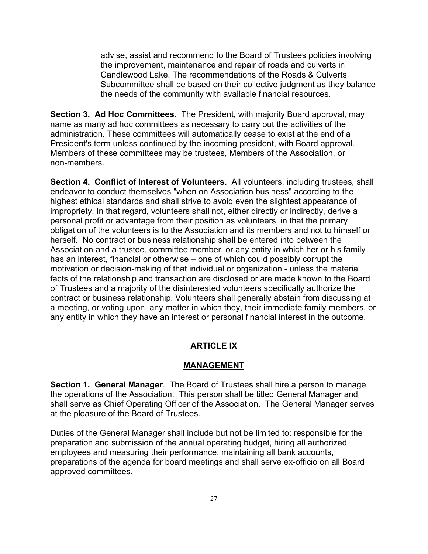advise, assist and recommend to the Board of Trustees policies involving the improvement, maintenance and repair of roads and culverts in Candlewood Lake. The recommendations of the Roads & Culverts Subcommittee shall be based on their collective judgment as they balance the needs of the community with available financial resources.

**Section 3. Ad Hoc Committees.** The President, with majority Board approval, may name as many ad hoc committees as necessary to carry out the activities of the administration. These committees will automatically cease to exist at the end of a President's term unless continued by the incoming president, with Board approval. Members of these committees may be trustees, Members of the Association, or non-members.

**Section 4. Conflict of Interest of Volunteers.** All volunteers, including trustees, shall endeavor to conduct themselves "when on Association business" according to the highest ethical standards and shall strive to avoid even the slightest appearance of impropriety. In that regard, volunteers shall not, either directly or indirectly, derive a personal profit or advantage from their position as volunteers, in that the primary obligation of the volunteers is to the Association and its members and not to himself or herself. No contract or business relationship shall be entered into between the Association and a trustee, committee member, or any entity in which her or his family has an interest, financial or otherwise – one of which could possibly corrupt the motivation or decision-making of that individual or organization - unless the material facts of the relationship and transaction are disclosed or are made known to the Board of Trustees and a majority of the disinterested volunteers specifically authorize the contract or business relationship. Volunteers shall generally abstain from discussing at a meeting, or voting upon, any matter in which they, their immediate family members, or any entity in which they have an interest or personal financial interest in the outcome.

#### **ARTICLE IX**

#### **MANAGEMENT**

**Section 1. General Manager**. The Board of Trustees shall hire a person to manage the operations of the Association. This person shall be titled General Manager and shall serve as Chief Operating Officer of the Association. The General Manager serves at the pleasure of the Board of Trustees.

Duties of the General Manager shall include but not be limited to: responsible for the preparation and submission of the annual operating budget, hiring all authorized employees and measuring their performance, maintaining all bank accounts, preparations of the agenda for board meetings and shall serve ex-officio on all Board approved committees.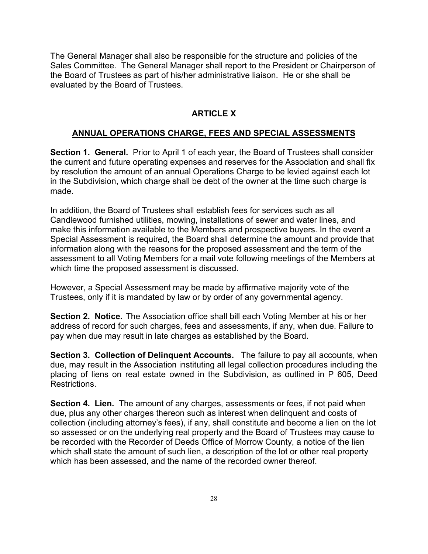The General Manager shall also be responsible for the structure and policies of the Sales Committee. The General Manager shall report to the President or Chairperson of the Board of Trustees as part of his/her administrative liaison. He or she shall be evaluated by the Board of Trustees.

#### **ARTICLE X**

#### **ANNUAL OPERATIONS CHARGE, FEES AND SPECIAL ASSESSMENTS**

**Section 1. General.** Prior to April 1 of each year, the Board of Trustees shall consider the current and future operating expenses and reserves for the Association and shall fix by resolution the amount of an annual Operations Charge to be levied against each lot in the Subdivision, which charge shall be debt of the owner at the time such charge is made.

In addition, the Board of Trustees shall establish fees for services such as all Candlewood furnished utilities, mowing, installations of sewer and water lines, and make this information available to the Members and prospective buyers. In the event a Special Assessment is required, the Board shall determine the amount and provide that information along with the reasons for the proposed assessment and the term of the assessment to all Voting Members for a mail vote following meetings of the Members at which time the proposed assessment is discussed.

However, a Special Assessment may be made by affirmative majority vote of the Trustees, only if it is mandated by law or by order of any governmental agency.

**Section 2. Notice.** The Association office shall bill each Voting Member at his or her address of record for such charges, fees and assessments, if any, when due. Failure to pay when due may result in late charges as established by the Board.

**Section 3. Collection of Delinquent Accounts.** The failure to pay all accounts, when due, may result in the Association instituting all legal collection procedures including the placing of liens on real estate owned in the Subdivision, as outlined in P 605, Deed Restrictions.

**Section 4. Lien.** The amount of any charges, assessments or fees, if not paid when due, plus any other charges thereon such as interest when delinquent and costs of collection (including attorney's fees), if any, shall constitute and become a lien on the lot so assessed or on the underlying real property and the Board of Trustees may cause to be recorded with the Recorder of Deeds Office of Morrow County, a notice of the lien which shall state the amount of such lien, a description of the lot or other real property which has been assessed, and the name of the recorded owner thereof.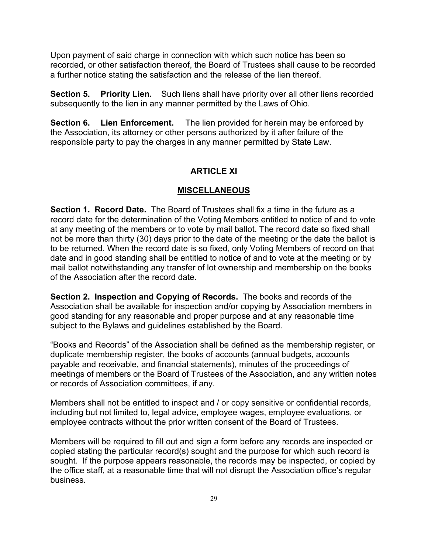Upon payment of said charge in connection with which such notice has been so recorded, or other satisfaction thereof, the Board of Trustees shall cause to be recorded a further notice stating the satisfaction and the release of the lien thereof.

**Section 5. Priority Lien.** Such liens shall have priority over all other liens recorded subsequently to the lien in any manner permitted by the Laws of Ohio.

**Section 6. Lien Enforcement.** The lien provided for herein may be enforced by the Association, its attorney or other persons authorized by it after failure of the responsible party to pay the charges in any manner permitted by State Law.

## **ARTICLE XI**

#### **MISCELLANEOUS**

**Section 1. Record Date.** The Board of Trustees shall fix a time in the future as a record date for the determination of the Voting Members entitled to notice of and to vote at any meeting of the members or to vote by mail ballot. The record date so fixed shall not be more than thirty (30) days prior to the date of the meeting or the date the ballot is to be returned. When the record date is so fixed, only Voting Members of record on that date and in good standing shall be entitled to notice of and to vote at the meeting or by mail ballot notwithstanding any transfer of lot ownership and membership on the books of the Association after the record date.

**Section 2. Inspection and Copying of Records.** The books and records of the Association shall be available for inspection and/or copying by Association members in good standing for any reasonable and proper purpose and at any reasonable time subject to the Bylaws and guidelines established by the Board.

"Books and Records" of the Association shall be defined as the membership register, or duplicate membership register, the books of accounts (annual budgets, accounts payable and receivable, and financial statements), minutes of the proceedings of meetings of members or the Board of Trustees of the Association, and any written notes or records of Association committees, if any.

Members shall not be entitled to inspect and / or copy sensitive or confidential records, including but not limited to, legal advice, employee wages, employee evaluations, or employee contracts without the prior written consent of the Board of Trustees.

Members will be required to fill out and sign a form before any records are inspected or copied stating the particular record(s) sought and the purpose for which such record is sought. If the purpose appears reasonable, the records may be inspected, or copied by the office staff, at a reasonable time that will not disrupt the Association office's regular business.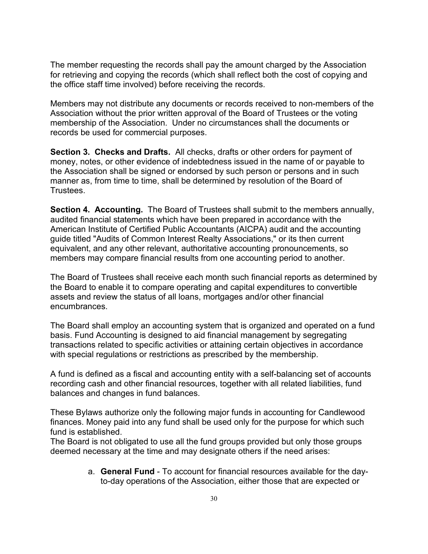The member requesting the records shall pay the amount charged by the Association for retrieving and copying the records (which shall reflect both the cost of copying and the office staff time involved) before receiving the records.

Members may not distribute any documents or records received to non-members of the Association without the prior written approval of the Board of Trustees or the voting membership of the Association. Under no circumstances shall the documents or records be used for commercial purposes.

**Section 3. Checks and Drafts.** All checks, drafts or other orders for payment of money, notes, or other evidence of indebtedness issued in the name of or payable to the Association shall be signed or endorsed by such person or persons and in such manner as, from time to time, shall be determined by resolution of the Board of **Trustees** 

**Section 4. Accounting.** The Board of Trustees shall submit to the members annually, audited financial statements which have been prepared in accordance with the American Institute of Certified Public Accountants (AICPA) audit and the accounting guide titled "Audits of Common Interest Realty Associations," or its then current equivalent, and any other relevant, authoritative accounting pronouncements, so members may compare financial results from one accounting period to another.

The Board of Trustees shall receive each month such financial reports as determined by the Board to enable it to compare operating and capital expenditures to convertible assets and review the status of all loans, mortgages and/or other financial encumbrances.

The Board shall employ an accounting system that is organized and operated on a fund basis. Fund Accounting is designed to aid financial management by segregating transactions related to specific activities or attaining certain objectives in accordance with special regulations or restrictions as prescribed by the membership.

A fund is defined as a fiscal and accounting entity with a self-balancing set of accounts recording cash and other financial resources, together with all related liabilities, fund balances and changes in fund balances.

These Bylaws authorize only the following major funds in accounting for Candlewood finances. Money paid into any fund shall be used only for the purpose for which such fund is established.

The Board is not obligated to use all the fund groups provided but only those groups deemed necessary at the time and may designate others if the need arises:

> a. **General Fund** - To account for financial resources available for the dayto-day operations of the Association, either those that are expected or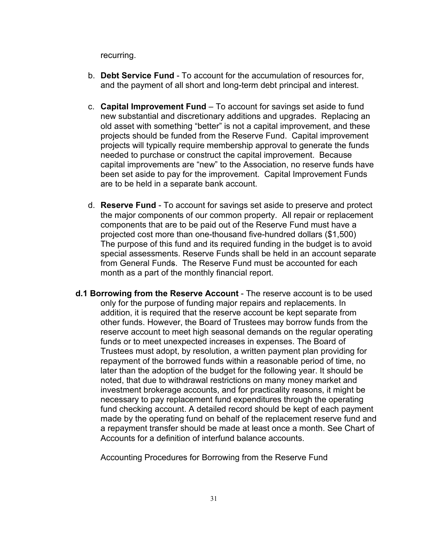recurring.

- b. **Debt Service Fund**  To account for the accumulation of resources for, and the payment of all short and long-term debt principal and interest.
- c. **Capital Improvement Fund**  To account for savings set aside to fund new substantial and discretionary additions and upgrades. Replacing an old asset with something "better" is not a capital improvement, and these projects should be funded from the Reserve Fund. Capital improvement projects will typically require membership approval to generate the funds needed to purchase or construct the capital improvement. Because capital improvements are "new" to the Association, no reserve funds have been set aside to pay for the improvement. Capital Improvement Funds are to be held in a separate bank account.
- d. **Reserve Fund**  To account for savings set aside to preserve and protect the major components of our common property. All repair or replacement components that are to be paid out of the Reserve Fund must have a projected cost more than one-thousand five-hundred dollars (\$1,500) The purpose of this fund and its required funding in the budget is to avoid special assessments. Reserve Funds shall be held in an account separate from General Funds. The Reserve Fund must be accounted for each month as a part of the monthly financial report.
- **d.1 Borrowing from the Reserve Account** The reserve account is to be used only for the purpose of funding major repairs and replacements. In addition, it is required that the reserve account be kept separate from other funds. However, the Board of Trustees may borrow funds from the reserve account to meet high seasonal demands on the regular operating funds or to meet unexpected increases in expenses. The Board of Trustees must adopt, by resolution, a written payment plan providing for repayment of the borrowed funds within a reasonable period of time, no later than the adoption of the budget for the following year. It should be noted, that due to withdrawal restrictions on many money market and investment brokerage accounts, and for practicality reasons, it might be necessary to pay replacement fund expenditures through the operating fund checking account. A detailed record should be kept of each payment made by the operating fund on behalf of the replacement reserve fund and a repayment transfer should be made at least once a month. See Chart of Accounts for a definition of interfund balance accounts.

Accounting Procedures for Borrowing from the Reserve Fund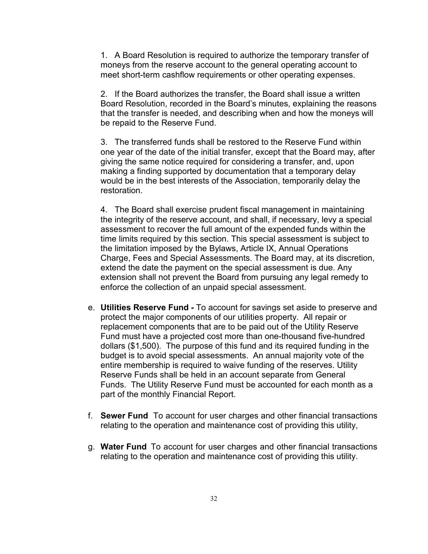1. A Board Resolution is required to authorize the temporary transfer of moneys from the reserve account to the general operating account to meet short-term cashflow requirements or other operating expenses.

2. If the Board authorizes the transfer, the Board shall issue a written Board Resolution, recorded in the Board's minutes, explaining the reasons that the transfer is needed, and describing when and how the moneys will be repaid to the Reserve Fund.

3. The transferred funds shall be restored to the Reserve Fund within one year of the date of the initial transfer, except that the Board may, after giving the same notice required for considering a transfer, and, upon making a finding supported by documentation that a temporary delay would be in the best interests of the Association, temporarily delay the restoration.

4. The Board shall exercise prudent fiscal management in maintaining the integrity of the reserve account, and shall, if necessary, levy a special assessment to recover the full amount of the expended funds within the time limits required by this section. This special assessment is subject to the limitation imposed by the Bylaws, Article IX, Annual Operations Charge, Fees and Special Assessments. The Board may, at its discretion, extend the date the payment on the special assessment is due. Any extension shall not prevent the Board from pursuing any legal remedy to enforce the collection of an unpaid special assessment.

- e. **Utilities Reserve Fund** To account for savings set aside to preserve and protect the major components of our utilities property. All repair or replacement components that are to be paid out of the Utility Reserve Fund must have a projected cost more than one-thousand five-hundred dollars (\$1,500). The purpose of this fund and its required funding in the budget is to avoid special assessments. An annual majority vote of the entire membership is required to waive funding of the reserves. Utility Reserve Funds shall be held in an account separate from General Funds. The Utility Reserve Fund must be accounted for each month as a part of the monthly Financial Report.
- f. **Sewer Fund** To account for user charges and other financial transactions relating to the operation and maintenance cost of providing this utility,
- g. **Water Fund** To account for user charges and other financial transactions relating to the operation and maintenance cost of providing this utility.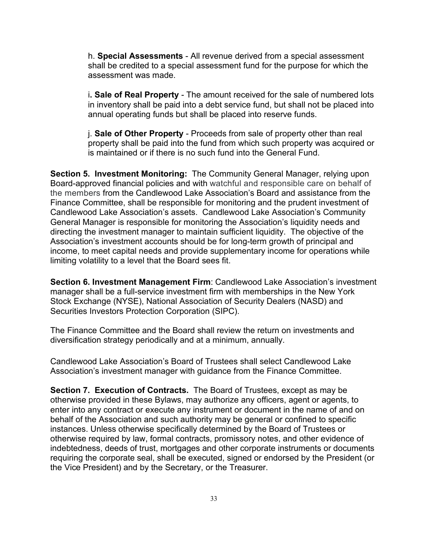h. **Special Assessments** - All revenue derived from a special assessment shall be credited to a special assessment fund for the purpose for which the assessment was made.

i**. Sale of Real Property** - The amount received for the sale of numbered lots in inventory shall be paid into a debt service fund, but shall not be placed into annual operating funds but shall be placed into reserve funds.

j. **Sale of Other Property** - Proceeds from sale of property other than real property shall be paid into the fund from which such property was acquired or is maintained or if there is no such fund into the General Fund.

**Section 5. Investment Monitoring:** The Community General Manager, relying upon Board-approved financial policies and with watchful and responsible care on behalf of the members from the Candlewood Lake Association's Board and assistance from the Finance Committee, shall be responsible for monitoring and the prudent investment of Candlewood Lake Association's assets. Candlewood Lake Association's Community General Manager is responsible for monitoring the Association's liquidity needs and directing the investment manager to maintain sufficient liquidity. The objective of the Association's investment accounts should be for long-term growth of principal and income, to meet capital needs and provide supplementary income for operations while limiting volatility to a level that the Board sees fit.

**Section 6. Investment Management Firm**: Candlewood Lake Association's investment manager shall be a full-service investment firm with memberships in the New York Stock Exchange (NYSE), National Association of Security Dealers (NASD) and Securities Investors Protection Corporation (SIPC).

The Finance Committee and the Board shall review the return on investments and diversification strategy periodically and at a minimum, annually.

Candlewood Lake Association's Board of Trustees shall select Candlewood Lake Association's investment manager with guidance from the Finance Committee.

**Section 7. Execution of Contracts.** The Board of Trustees, except as may be otherwise provided in these Bylaws, may authorize any officers, agent or agents, to enter into any contract or execute any instrument or document in the name of and on behalf of the Association and such authority may be general or confined to specific instances. Unless otherwise specifically determined by the Board of Trustees or otherwise required by law, formal contracts, promissory notes, and other evidence of indebtedness, deeds of trust, mortgages and other corporate instruments or documents requiring the corporate seal, shall be executed, signed or endorsed by the President (or the Vice President) and by the Secretary, or the Treasurer.